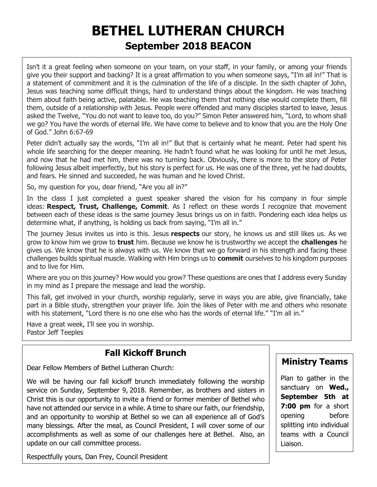# **BETHEL LUTHERAN CHURCH September 2018 BEACON**

Isn't it a great feeling when someone on your team, on your staff, in your family, or among your friends give you their support and backing? It is a great affirmation to you when someone says, "I'm all in!" That is a statement of commitment and it is the culmination of the life of a disciple. In the sixth chapter of John, Jesus was teaching some difficult things, hard to understand things about the kingdom. He was teaching them about faith being active, palatable. He was teaching them that nothing else would complete them, fill them, outside of a relationship with Jesus. People were offended and many disciples started to leave, Jesus asked the Twelve, "You do not want to leave too, do you?" Simon Peter answered him, "Lord, to whom shall we go? You have the words of eternal life. We have come to believe and to know that you are the Holy One of God." John 6:67-69

Peter didn't actually say the words, "I'm all in!" But that is certainly what he meant. Peter had spent his whole life searching for the deeper meaning. He hadn't found what he was looking for until he met Jesus, and now that he had met him, there was no turning back. Obviously, there is more to the story of Peter following Jesus albeit imperfectly, but his story is perfect for us. He was one of the three, yet he had doubts, and fears. He sinned and succeeded, he was human and he loved Christ.

So, my question for you, dear friend, "Are you all in?"

In the class I just completed a guest speaker shared the vision for his company in four simple ideas: **Respect, Trust, Challenge, Commit**. As I reflect on these words I recognize that movement between each of these ideas is the same journey Jesus brings us on in faith. Pondering each idea helps us determine what, if anything, is holding us back from saying, "I'm all in."

The journey Jesus invites us into is this. Jesus **respects** our story, he knows us and still likes us. As we grow to know him we grow to **trust** him. Because we know he is trustworthy we accept the **challenges** he gives us. We know that he is always with us. We know that we go forward in his strength and facing these challenges builds spiritual muscle. Walking with Him brings us to **commit** ourselves to his kingdom purposes and to live for Him.

Where are you on this journey? How would you grow? These questions are ones that I address every Sunday in my mind as I prepare the message and lead the worship.

This fall, get involved in your church, worship regularly, serve in ways you are able, give financially, take part in a Bible study, strengthen your prayer life. Join the likes of Peter with me and others who resonate with his statement, "Lord there is no one else who has the words of eternal life." "I'm all in."

Have a great week, I'll see you in worship. Pastor Jeff Teeples

# **Fall Kickoff Brunch**

Dear Fellow Members of Bethel Lutheran Church:

We will be having our fall kickoff brunch immediately following the worship service on Sunday, September 9, 2018. Remember, as brothers and sisters in Christ this is our opportunity to invite a friend or former member of Bethel who have not attended our service in a while. A time to share our faith, our friendship, and an opportunity to worship at Bethel so we can all experience all of God's many blessings. After the meal, as Council President, I will cover some of our accomplishments as well as some of our challenges here at Bethel. Also, an update on our call committee process.

Respectfully yours, Dan Frey, Council President

### **Ministry Teams**

Plan to gather in the sanctuary on **Wed., September 5th at 7:00 pm** for a short opening before splitting into individual teams with a Council Liaison.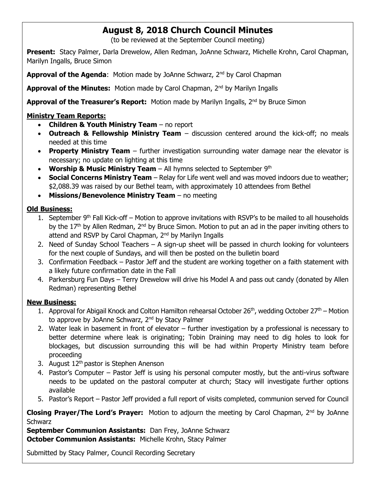# **August 8, 2018 Church Council Minutes**

(to be reviewed at the September Council meeting)

**Present:** Stacy Palmer, Darla Drewelow, Allen Redman, JoAnne Schwarz, Michelle Krohn, Carol Chapman, Marilyn Ingalls, Bruce Simon

Approval of the Agenda: Motion made by JoAnne Schwarz, 2<sup>nd</sup> by Carol Chapman

**Approval of the Minutes:** Motion made by Carol Chapman, 2nd by Marilyn Ingalls

Approval of the Treasurer's Report: Motion made by Marilyn Ingalls, 2<sup>nd</sup> by Bruce Simon

### **Ministry Team Reports:**

- **Children & Youth Ministry Team** no report
- **Outreach & Fellowship Ministry Team** discussion centered around the kick-off; no meals needed at this time
- **Property Ministry Team** further investigation surrounding water damage near the elevator is necessary; no update on lighting at this time
- **Worship & Music Ministry Team** All hymns selected to September 9<sup>th</sup>
- **Social Concerns Ministry Team** Relay for Life went well and was moved indoors due to weather; \$2,088.39 was raised by our Bethel team, with approximately 10 attendees from Bethel
- **Missions/Benevolence Ministry Team** no meeting

### **Old Business:**

- 1. September  $9<sup>th</sup>$  Fall Kick-off Motion to approve invitations with RSVP's to be mailed to all households by the 17<sup>th</sup> by Allen Redman, 2<sup>nd</sup> by Bruce Simon. Motion to put an ad in the paper inviting others to attend and RSVP by Carol Chapman, 2<sup>nd</sup> by Marilyn Ingalls
- 2. Need of Sunday School Teachers A sign-up sheet will be passed in church looking for volunteers for the next couple of Sundays, and will then be posted on the bulletin board
- 3. Confirmation Feedback Pastor Jeff and the student are working together on a faith statement with a likely future confirmation date in the Fall
- 4. Parkersburg Fun Days Terry Drewelow will drive his Model A and pass out candy (donated by Allen Redman) representing Bethel

#### **New Business:**

- 1. Approval for Abigail Knock and Colton Hamilton rehearsal October  $26<sup>th</sup>$ , wedding October  $27<sup>th</sup>$  Motion to approve by JoAnne Schwarz, 2<sup>nd</sup> by Stacy Palmer
- 2. Water leak in basement in front of elevator further investigation by a professional is necessary to better determine where leak is originating; Tobin Draining may need to dig holes to look for blockages, but discussion surrounding this will be had within Property Ministry team before proceeding
- 3. August  $12<sup>th</sup>$  pastor is Stephen Anenson
- 4. Pastor's Computer Pastor Jeff is using his personal computer mostly, but the anti-virus software needs to be updated on the pastoral computer at church; Stacy will investigate further options available
- 5. Pastor's Report Pastor Jeff provided a full report of visits completed, communion served for Council

**Closing Prayer/The Lord's Prayer:** Motion to adjourn the meeting by Carol Chapman, 2<sup>nd</sup> by JoAnne **Schwarz** 

**September Communion Assistants:** Dan Frey, JoAnne Schwarz **October Communion Assistants:** Michelle Krohn, Stacy Palmer

Submitted by Stacy Palmer, Council Recording Secretary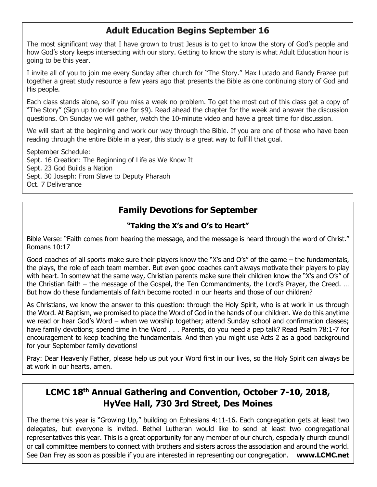# **Adult Education Begins September 16**

The most significant way that I have grown to trust Jesus is to get to know the story of God's people and how God's story keeps intersecting with our story. Getting to know the story is what Adult Education hour is going to be this year.

I invite all of you to join me every Sunday after church for "The Story." Max Lucado and Randy Frazee put together a great study resource a few years ago that presents the Bible as one continuing story of God and His people.

Each class stands alone, so if you miss a week no problem. To get the most out of this class get a copy of "The Story" (Sign up to order one for \$9). Read ahead the chapter for the week and answer the discussion questions. On Sunday we will gather, watch the 10-minute video and have a great time for discussion.

We will start at the beginning and work our way through the Bible. If you are one of those who have been reading through the entire Bible in a year, this study is a great way to fulfill that goal.

September Schedule: Sept. 16 Creation: The Beginning of Life as We Know It Sept. 23 God Builds a Nation Sept. 30 Joseph: From Slave to Deputy Pharaoh Oct. 7 Deliverance

# **Family Devotions for September**

### **"Taking the X's and O's to Heart"**

Bible Verse: "Faith comes from hearing the message, and the message is heard through the word of Christ." Romans 10:17

Good coaches of all sports make sure their players know the "X's and O's" of the game – the fundamentals, the plays, the role of each team member. But even good coaches can't always motivate their players to play with heart. In somewhat the same way, Christian parents make sure their children know the "X's and O's" of the Christian faith – the message of the Gospel, the Ten Commandments, the Lord's Prayer, the Creed. … But how do these fundamentals of faith become rooted in our hearts and those of our children?

As Christians, we know the answer to this question: through the Holy Spirit, who is at work in us through the Word. At Baptism, we promised to place the Word of God in the hands of our children. We do this anytime we read or hear God's Word – when we worship together; attend Sunday school and confirmation classes; have family devotions; spend time in the Word . . . Parents, do you need a pep talk? Read Psalm 78:1-7 for encouragement to keep teaching the fundamentals. And then you might use Acts 2 as a good background for your September family devotions!

Pray: Dear Heavenly Father, please help us put your Word first in our lives, so the Holy Spirit can always be at work in our hearts, amen.

### **LCMC 18th Annual Gathering and Convention, October 7-10, 2018, HyVee Hall, 730 3rd Street, Des Moines**

The theme this year is "Growing Up," building on Ephesians 4:11-16. Each congregation gets at least two delegates, but everyone is invited. Bethel Lutheran would like to send at least two congregational representatives this year. This is a great opportunity for any member of our church, especially church council or call committee members to connect with brothers and sisters across the association and around the world. See Dan Frey as soon as possible if you are interested in representing our congregation. **www.LCMC.net**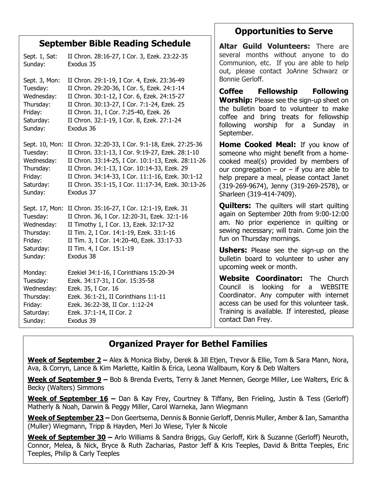|                                                                        | <b>September Bible Reading Schedule</b>                                                                                                                                                                                                                                                                                                            | Altar Guild Volunteers: There are                                                                                                                                                                                                                                                                 |  |  |  |
|------------------------------------------------------------------------|----------------------------------------------------------------------------------------------------------------------------------------------------------------------------------------------------------------------------------------------------------------------------------------------------------------------------------------------------|---------------------------------------------------------------------------------------------------------------------------------------------------------------------------------------------------------------------------------------------------------------------------------------------------|--|--|--|
| Sept. 1, Sat:<br>Sunday:                                               | II Chron. 28:16-27, I Cor. 3, Ezek. 23:22-35<br>Exodus 35                                                                                                                                                                                                                                                                                          | several months without anyone to do<br>Communion, etc. If you are able to help<br>out, please contact JoAnne Schwarz or                                                                                                                                                                           |  |  |  |
| Sept. 3, Mon:                                                          | II Chron. 29:1-19, I Cor. 4, Ezek. 23:36-49                                                                                                                                                                                                                                                                                                        | Bonnie Gerloff.                                                                                                                                                                                                                                                                                   |  |  |  |
| Tuesday:<br>Wednesday:<br>Thursday:<br>Friday:<br>Saturday:<br>Sunday: | II Chron. 29:20-36, I Cor. 5, Ezek. 24:1-14<br>II Chron. 30:1-12, I Cor. 6, Ezek. 24:15-27<br>II Chron. 30:13-27, I Cor. 7:1-24, Ezek. 25<br>II Chron. 31, I Cor. 7:25-40, Ezek. 26<br>II Chron. 32:1-19, I Cor. 8, Ezek. 27:1-24<br>Exodus 36                                                                                                     | <b>Coffee</b><br>Fellowship<br><b>Following</b><br>Worship: Please see the sign-up sheet on<br>the bulletin board to volunteer to make<br>coffee and bring treats for fellowship<br>worship for a Sunday<br>following<br>in.<br>September.                                                        |  |  |  |
| Tuesday:<br>Wednesday:<br>Thursday:<br>Friday:<br>Saturday:<br>Sunday: | Sept. 10, Mon: II Chron. 32:20-33, I Cor. 9:1-18, Ezek. 27:25-36<br>II Chron. 33:1-13, I Cor. 9:19-27, Ezek. 28:1-10<br>II Chron. 33:14-25, I Cor. 10:1-13, Ezek. 28:11-26<br>II Chron. 34:1-13, I Cor. 10:14-33, Ezek. 29<br>II Chron. 34:14-33, I Cor. 11:1-16, Ezek. 30:1-12<br>II Chron. 35:1-15, I Cor. 11:17-34, Ezek. 30:13-26<br>Exodus 37 | <b>Home Cooked Meal:</b> If you know of<br>someone who might benefit from a home-<br>cooked meal(s) provided by members of<br>our congregation $-$ or $-$ if you are able to<br>help prepare a meal, please contact Janet<br>(319-269-9674), Jenny (319-269-2578), or<br>Sharleen (319-414-7409). |  |  |  |
| Tuesday:<br>Wednesday:<br>Thursday:<br>Friday:                         | Sept. 17, Mon: II Chron. 35:16-27, I Cor. 12:1-19, Ezek. 31<br>II Chron. 36, I Cor. 12:20-31, Ezek. 32:1-16<br>II Timothy 1, I Cor. 13, Ezek. 32:17-32<br>II Tim. 2, I Cor. 14:1-19, Ezek. 33:1-16<br>II Tim. 3, I Cor. 14:20-40, Ezek. 33:17-33                                                                                                   | <b>Quilters:</b> The quilters will start quilting<br>again on September 20th from 9:00-12:00<br>am. No prior experience in quilting or<br>sewing necessary; will train. Come join the<br>fun on Thursday mornings.                                                                                |  |  |  |
| Saturday:<br>Sunday:                                                   | II Tim. 4, I Cor. 15:1-19<br>Exodus 38                                                                                                                                                                                                                                                                                                             | <b>Ushers:</b> Please see the sign-up on the<br>bulletin board to volunteer to usher any<br>upcoming week or month.                                                                                                                                                                               |  |  |  |
| Monday:                                                                | Ezekiel 34:1-16, I Corinthians 15:20-34                                                                                                                                                                                                                                                                                                            | Website Coordinator: The Church                                                                                                                                                                                                                                                                   |  |  |  |
| Tuesday:<br>Wednesday:                                                 | Ezek. 34:17-31, I Cor. 15:35-58<br>Ezek. 35, I Cor. 16                                                                                                                                                                                                                                                                                             | for<br>Council is<br>looking<br>a WEBSITE                                                                                                                                                                                                                                                         |  |  |  |
| Thursday:                                                              | Ezek. 36:1-21, II Corinthians 1:1-11                                                                                                                                                                                                                                                                                                               | Coordinator. Any computer with internet                                                                                                                                                                                                                                                           |  |  |  |
| Friday:                                                                | Ezek. 36:22-38, II Cor. 1:12-24                                                                                                                                                                                                                                                                                                                    | access can be used for this volunteer task.                                                                                                                                                                                                                                                       |  |  |  |
| Saturday:                                                              | Ezek. 37:1-14, II Cor. 2                                                                                                                                                                                                                                                                                                                           | Training is available. If interested, please                                                                                                                                                                                                                                                      |  |  |  |
| Sunday:                                                                | Exodus 39                                                                                                                                                                                                                                                                                                                                          | contact Dan Frey.                                                                                                                                                                                                                                                                                 |  |  |  |

**Opportunities to Serve**

# **Organized Prayer for Bethel Families**

**Week of September 2 –** Alex & Monica Bixby, Derek & Jill Etjen, Trevor & Ellie, Tom & Sara Mann, Nora, Ava, & Corryn, Lance & Kim Marlette, Kaitlin & Erica, Leona Wallbaum, Kory & Deb Walters

**Week of September 9 –** Bob & Brenda Everts, Terry & Janet Mennen, George Miller, Lee Walters, Eric & Becky (Walters) Simmons

**Week of September 16 –** Dan & Kay Frey, Courtney & Tiffany, Ben Frieling, Justin & Tess (Gerloff) Matherly & Noah, Darwin & Peggy Miller, Carol Warneka, Jann Wiegmann

**Week of September 23 –** Don Geertsema, Dennis & Bonnie Gerloff, Dennis Muller, Amber & Ian, Samantha (Muller) Wiegmann, Tripp & Hayden, Meri Jo Wiese, Tyler & Nicole

**Week of September 30 –** Arlo Williams & Sandra Briggs, Guy Gerloff, Kirk & Suzanne (Gerloff) Neuroth, Connor, Melea, & Nick, Bryce & Ruth Zacharias, Pastor Jeff & Kris Teeples, David & Britta Teeples, Eric Teeples, Philip & Carly Teeples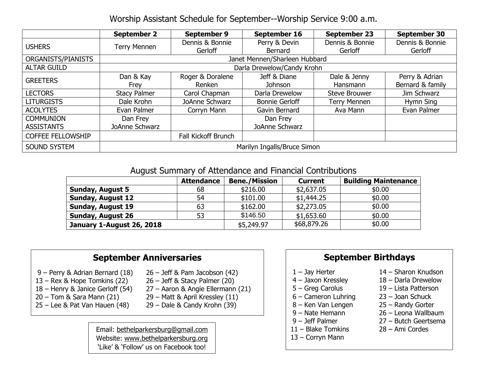Worship Assistant Schedule for September--Worship Service 9:00 a.m.

|                          | <b>September 2</b>            | <b>September 9</b>  | September 16          | <b>September 23</b>  | September 30     |
|--------------------------|-------------------------------|---------------------|-----------------------|----------------------|------------------|
| <b>USHERS</b>            |                               | Dennis & Bonnie     | Perry & Devin         | Dennis & Bonnie      | Dennis & Bonnie  |
|                          | <b>Terry Mennen</b>           | Gerloff             | Bernard               | Gerloff              | Gerloff          |
| ORGANISTS/PIANISTS       | Janet Mennen/Sharleen Hubbard |                     |                       |                      |                  |
| <b>ALTAR GUILD</b>       | Darla Drewelow/Candy Krohn    |                     |                       |                      |                  |
| <b>GREETERS</b>          | Dan & Kay                     | Roger & Doralene    | Jeff & Diane          | Dale & Jenny         | Perry & Adrian   |
|                          | Frey                          | Renken              | <b>Johnson</b>        | Hansmann             | Bernard & family |
| <b>LECTORS</b>           | <b>Stacy Palmer</b>           | Carol Chapman       | Darla Drewelow        | <b>Steve Brouwer</b> | Jim Schwarz      |
| <b>LITURGISTS</b>        | Dale Krohn                    | JoAnne Schwarz      | <b>Bonnie Gerloff</b> | <b>Terry Mennen</b>  | Hymn Sing        |
| <b>ACOLYTES</b>          | Evan Palmer                   | Corryn Mann         | Gavin Bernard         | Ava Mann             | Evan Palmer      |
| <b>COMMUNION</b>         | Dan Frey                      |                     | Dan Frey              |                      |                  |
| <b>ASSISTANTS</b>        | JoAnne Schwarz                |                     | JoAnne Schwarz        |                      |                  |
| <b>COFFEE FELLOWSHIP</b> |                               | Fall Kickoff Brunch |                       |                      |                  |
| <b>SOUND SYSTEM</b>      | Marilyn Ingalls/Bruce Simon   |                     |                       |                      |                  |

#### August Summary of Attendance and Financial Contributions

|                           | <b>Attendance</b> | <b>Bene./Mission</b> | <b>Current</b> | <b>Building Maintenance</b> |
|---------------------------|-------------------|----------------------|----------------|-----------------------------|
| <b>Sunday, August 5</b>   | 68                | \$216.00             | \$2,637.05     | \$0.00                      |
| <b>Sunday, August 12</b>  | 54                | \$101.00             | \$1,444.25     | \$0.00                      |
| <b>Sunday, August 19</b>  | 63                | \$162.00             | \$2,273.05     | \$0.00                      |
| <b>Sunday, August 26</b>  | 53                | \$146.50             | \$1,653.60     | \$0.00                      |
| January 1-August 26, 2018 |                   | \$5,249.97           | \$68,879.26    | \$0.00                      |

### **September Anniversaries**

- 9 Perry & Adrian Bernard (18) 26 Jeff & Pam Jacobson (42)
- 13 Rex & Hope Tomkins (22) 26 Jeff & Stacy Palmer (20)
- 
- 20 Tom & Sara Mann (21) 29 Matt & April Kressley (11)
- 25 Lee & Pat Van Hauen (48) 29 Dale & Candy Krohn (39)
- 
- 
- 18 Henry & Janice Gerloff (54) 27 Aaron & Angie Ellermann (21)
	-
	-

Email: [bethelparkersburg@gmail.com](mailto:bethelparkersburg@gmail.com) Website: [www.bethelparkersburg.org](http://www.bethelparkersburg.org/) 'Like' & 'Follow' us on Facebook too!

### **September Birthdays**

- 
- 
- 
- 6 Cameron Luhring 23 Joan Schuck
- 8 Ken Van Lengen 25 Randy Gorter
- 
- 
- 
- 
- 13 Corryn Mann
- 1 Jay Herter 14 Sharon Knudson
- 4 Jaxon Kressley 18 Darla Drewelow
- 5 Greg Carolus 19 Lista Patterson
	-
	-
- 9 Nate Hemann 26 Leona Wallbaum
- 9 Jeff Palmer 27 Butch Geertsema
- 11 Blake Tomkins 28 Ami Cordes